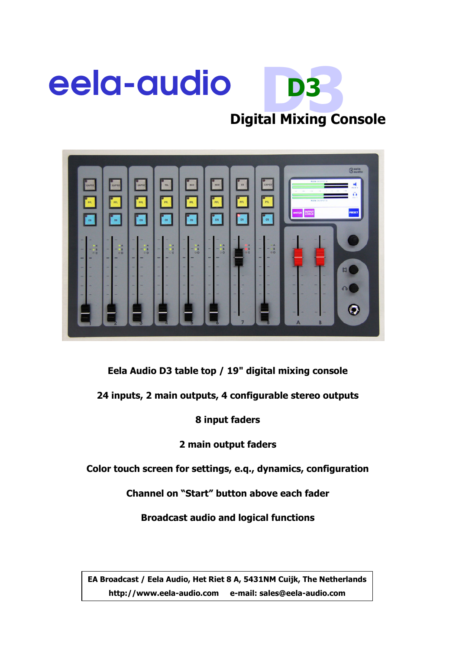



Eela Audio D3 table top / 19" digital mixing console

24 inputs, 2 main outputs, 4 configurable stereo outputs

8 input faders

2 main output faders

Color touch screen for settings, e.q., dynamics, configuration

Channel on "Start" button above each fader

Broadcast audio and logical functions

EA Broadcast / Eela Audio, Het Riet 8 A, 5431NM Cuijk, The Netherlands http://www.eela-audio.com e-mail: sales@eela-audio.com